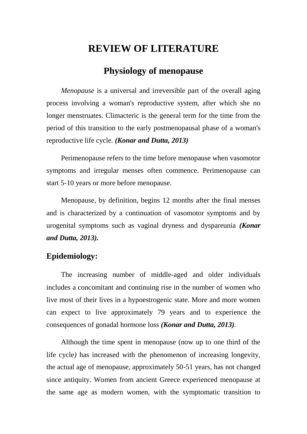## **REVIEW OF LITERATURE**

### **Physiology of menopause**

*Menopause* is a universal and irreversible part of the overall aging process involving a woman's reproductive system, after which she no longer menstruates. Climacteric is the general term for the time from the period of this transition to the early postmenopausal phase of a woman's reproductive life cycle. *(Konar and Dutta, 2013)*

Perimenopause refers to the time before menopause when vasomotor symptoms and irregular menses often commence. Perimenopause can start 5-10 years or more before menopause.

Menopause, by definition, begins 12 months after the final menses and is characterized by a continuation of vasomotor symptoms and by urogenital symptoms such as vaginal dryness and dyspareunia *(Konar and Dutta, 2013).*

#### **Epidemiology:**

The increasing number of middle-aged and older individuals includes a concomitant and continuing rise in the number of women who live most of their lives in a hypoestrogenic state. More and more women can expect to live approximately 79 years and to experience the consequences of gonadal hormone loss *(Konar and Dutta, 2013).* 

Although the time spent in menopause (now up to one third of the life cycle*)* has increased with the phenomenon of increasing longevity, the actual age of menopause, approximately 50-51 years, has not changed since antiquity. Women from ancient Greece experienced menopause at the same age as modern women, with the symptomatic transition to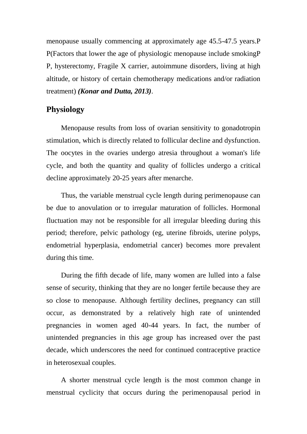menopause usually commencing at approximately age 45.5-47.5 years.P P(Factors that lower the age of physiologic menopause include smokingP P, hysterectomy, Fragile X carrier, autoimmune disorders, living at high altitude, or history of certain chemotherapy medications and/or radiation treatment) *(Konar and Dutta, 2013)*.

#### **Physiology**

Menopause results from loss of ovarian sensitivity to gonadotropin stimulation, which is directly related to follicular decline and dysfunction. The oocytes in the ovaries undergo atresia throughout a woman's life cycle, and both the quantity and quality of follicles undergo a critical decline approximately 20-25 years after menarche.

Thus, the variable menstrual cycle length during perimenopause can be due to anovulation or to irregular maturation of follicles. Hormonal fluctuation may not be responsible for all irregular bleeding during this period; therefore, pelvic pathology (eg, uterine fibroids, uterine polyps, endometrial hyperplasia, endometrial cancer) becomes more prevalent during this time.

During the fifth decade of life, many women are lulled into a false sense of security, thinking that they are no longer fertile because they are so close to menopause. Although fertility declines, pregnancy can still occur, as demonstrated by a relatively high rate of unintended pregnancies in women aged 40-44 years. In fact, the number of unintended pregnancies in this age group has increased over the past decade, which underscores the need for continued contraceptive practice in heterosexual couples.

A shorter menstrual cycle length is the most common change in menstrual cyclicity that occurs during the perimenopausal period in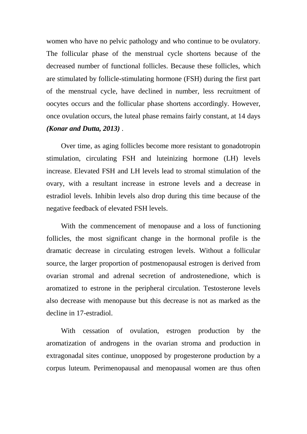women who have no pelvic pathology and who continue to be ovulatory. The follicular phase of the menstrual cycle shortens because of the decreased number of functional follicles. Because these follicles, which are stimulated by follicle-stimulating hormone (FSH) during the first part of the menstrual cycle, have declined in number, less recruitment of oocytes occurs and the follicular phase shortens accordingly. However, once ovulation occurs, the luteal phase remains fairly constant, at 14 days *(Konar and Dutta, 2013)* .

Over time, as aging follicles become more resistant to gonadotropin stimulation, circulating FSH and luteinizing hormone (LH) levels increase. Elevated FSH and LH levels lead to stromal stimulation of the ovary, with a resultant increase in estrone levels and a decrease in estradiol levels. Inhibin levels also drop during this time because of the negative feedback of elevated FSH levels.

With the commencement of menopause and a loss of functioning follicles, the most significant change in the hormonal profile is the dramatic decrease in circulating estrogen levels. Without a follicular source, the larger proportion of postmenopausal estrogen is derived from ovarian stromal and adrenal secretion of androstenedione, which is aromatized to estrone in the peripheral circulation. Testosterone levels also decrease with menopause but this decrease is not as marked as the decline in 17-estradiol.

With cessation of ovulation, estrogen production by the aromatization of androgens in the ovarian stroma and production in extragonadal sites continue, unopposed by progesterone production by a corpus luteum. Perimenopausal and menopausal women are thus often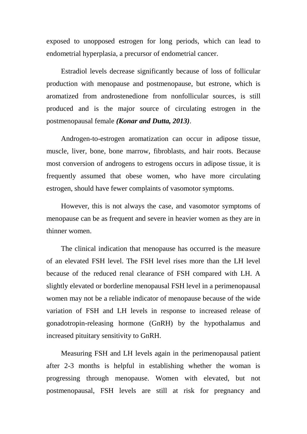exposed to unopposed estrogen for long periods, which can lead to endometrial hyperplasia, a precursor of endometrial cancer.

Estradiol levels decrease significantly because of loss of follicular production with menopause and postmenopause, but estrone, which is aromatized from androstenedione from nonfollicular sources, is still produced and is the major source of circulating estrogen in the postmenopausal female *(Konar and Dutta, 2013)*.

Androgen-to-estrogen aromatization can occur in adipose tissue, muscle, liver, bone, bone marrow, fibroblasts, and hair roots. Because most conversion of androgens to estrogens occurs in adipose tissue, it is frequently assumed that obese women, who have more circulating estrogen, should have fewer complaints of vasomotor symptoms.

However, this is not always the case, and vasomotor symptoms of menopause can be as frequent and severe in heavier women as they are in thinner women.

The clinical indication that menopause has occurred is the measure of an elevated FSH level. The FSH level rises more than the LH level because of the reduced renal clearance of FSH compared with LH. A slightly elevated or borderline menopausal FSH level in a perimenopausal women may not be a reliable indicator of menopause because of the wide variation of FSH and LH levels in response to increased release of gonadotropin-releasing hormone (GnRH) by the hypothalamus and increased pituitary sensitivity to GnRH.

Measuring FSH and LH levels again in the perimenopausal patient after 2-3 months is helpful in establishing whether the woman is progressing through menopause. Women with elevated, but not postmenopausal, FSH levels are still at risk for pregnancy and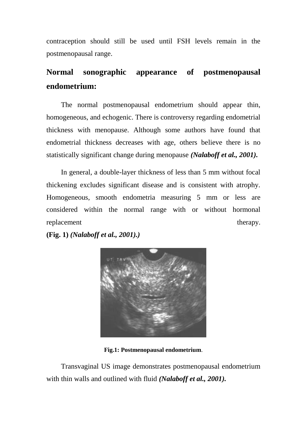contraception should still be used until FSH levels remain in the postmenopausal range.

## **Normal sonographic appearance of postmenopausal endometrium:**

The normal postmenopausal endometrium should appear thin, homogeneous, and echogenic. There is controversy regarding endometrial thickness with menopause. Although some authors have found that endometrial thickness decreases with age, others believe there is no statistically significant change during menopause *(Nalaboff et al., 2001).*

In general, a double-layer thickness of less than 5 mm without focal thickening excludes significant disease and is consistent with atrophy. Homogeneous, smooth endometria measuring 5 mm or less are considered within the normal range with or without hormonal replacement therapy.

**(Fig. 1)** *(Nalaboff et al., 2001).)*



**Fig.1: Postmenopausal endometrium**.

Transvaginal US image demonstrates postmenopausal endometrium with thin walls and outlined with fluid *(Nalaboff et al., 2001).*